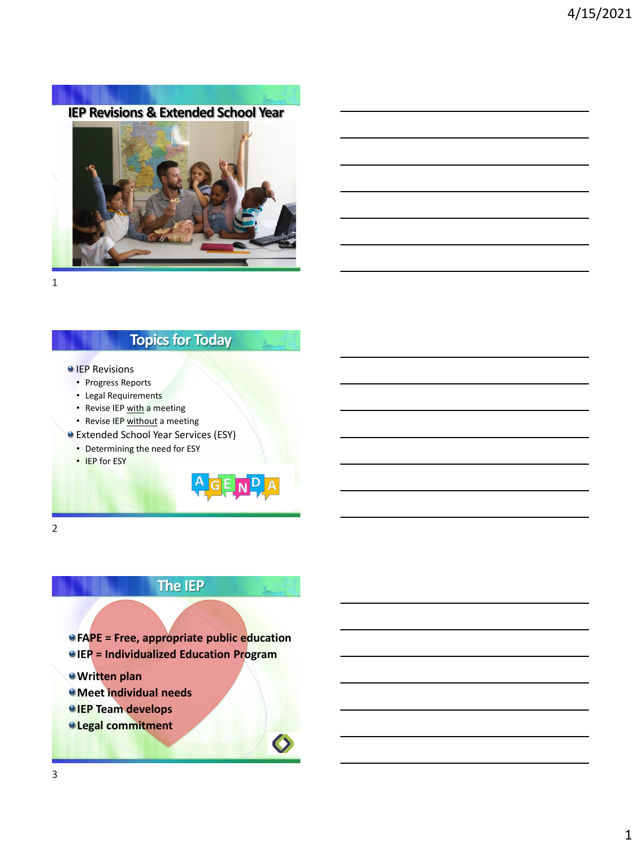**IEP Revisions & Extended School Year**



1

### **Topics for Today**

#### **IEP Revisions**

- Progress Reports
- Legal Requirements
- Revise IEP with a meeting
- Revise IEP without a meeting
- Extended School Year Services (ESY)
	- Determining the need for ESY
	- IEP for ESY

2

# **The IEP**

GENPA

**FAPE = Free, appropriate public education**

- **IEP = Individualized Education Program**
- **Written plan**
- **Meet individual needs**
- *IEP Team develops*
- **Legal commitment**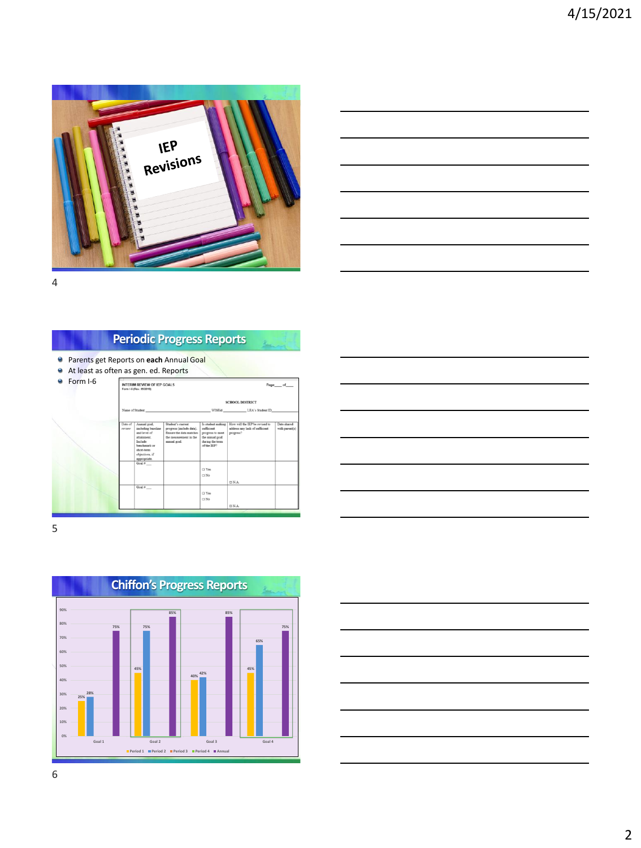

4

### **Periodic Progress Reports**

- Parents get Reports on **each** Annual Goal
- At least as often as gen. ed. Reports

| Form I-6 | <b>INTERIM REVIEW OF IEP GOALS</b><br>Form 14 (Rev. 05/2018) |                                                                                                                                            |                                                                                                                    |                                                                                                          |                                                                               | Page_of_                      |
|----------|--------------------------------------------------------------|--------------------------------------------------------------------------------------------------------------------------------------------|--------------------------------------------------------------------------------------------------------------------|----------------------------------------------------------------------------------------------------------|-------------------------------------------------------------------------------|-------------------------------|
|          |                                                              |                                                                                                                                            |                                                                                                                    | <b>SCHOOL DISTRICT</b>                                                                                   |                                                                               |                               |
|          | Name of Student                                              |                                                                                                                                            |                                                                                                                    | <b>WISEid</b>                                                                                            | LEA's Student ID                                                              |                               |
|          |                                                              |                                                                                                                                            |                                                                                                                    |                                                                                                          |                                                                               |                               |
|          | Date of<br>pecienc                                           | Annual goal,<br>including baseline<br>and level of<br>stainment<br>Include<br>benchmark or<br>short-term<br>objectives, if<br>appropriate. | Student's current<br>progress (include data).<br>Ensure the data matches<br>the measurement in the<br>annual goal. | Is student making<br>sufficient<br>progress to meet<br>the annual goal<br>during the term<br>of the IEP? | How will the IEP be revised to<br>address any lack of sufficient<br>progress? | Date shared<br>with parent(s) |
|          |                                                              | Goal $\alpha$                                                                                                                              |                                                                                                                    | $\Box$ Yes<br>$\Box$ No                                                                                  | $\Box$ NA                                                                     |                               |
|          |                                                              | Goal $\theta$                                                                                                                              |                                                                                                                    |                                                                                                          |                                                                               |                               |
|          |                                                              |                                                                                                                                            |                                                                                                                    | $\Box$ Yes<br>$\Box$ No                                                                                  |                                                                               |                               |
|          |                                                              |                                                                                                                                            |                                                                                                                    |                                                                                                          | $\Box$ N.A.                                                                   |                               |

|                          |  | ____  |
|--------------------------|--|-------|
|                          |  | _____ |
| $\overline{\phantom{a}}$ |  |       |
|                          |  |       |
|                          |  |       |
|                          |  |       |

5



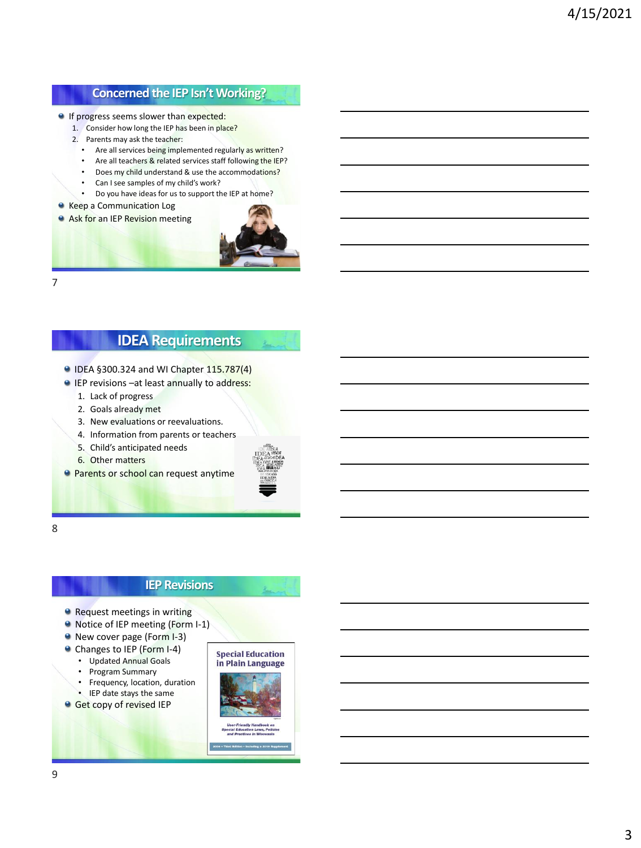### **Concerned the IEP Isn't Working?**

- If progress seems slower than expected:
	- 1. Consider how long the IEP has been in place?
	- 2. Parents may ask the teacher:
		- Are all services being implemented regularly as written?
		- Are all teachers & related services staff following the IEP?
		- Does my child understand & use the accommodations?
		- Can I see samples of my child's work?<br>• Do you have ideas for us to support the
		- Do you have ideas for us to support the IEP at home?
- Keep a Communication Log
- **Ask for an IEP Revision meeting**



7

### **IDEA Requirements**

- IDEA §300.324 and WI Chapter 115.787(4)
- **IEP revisions –at least annually to address:** 
	- 1. Lack of progress
	- 2. Goals already met
	- 3. New evaluations or reevaluations.
	- 4. Information from parents or teachers
	- 5. Child's anticipated needs
	- 6. Other matters
- **Parents or school can request anytime**



8

#### **IEP Revisions**

- **•** Request meetings in writing
- Notice of IEP meeting (Form I-1)
- New cover page (Form I-3)
- Changes to IEP (Form I-4)
	- Updated Annual Goals
	- Program Summary
	- Frequency, location, duration
	- IEP date stays the same
- **Get copy of revised IEP**



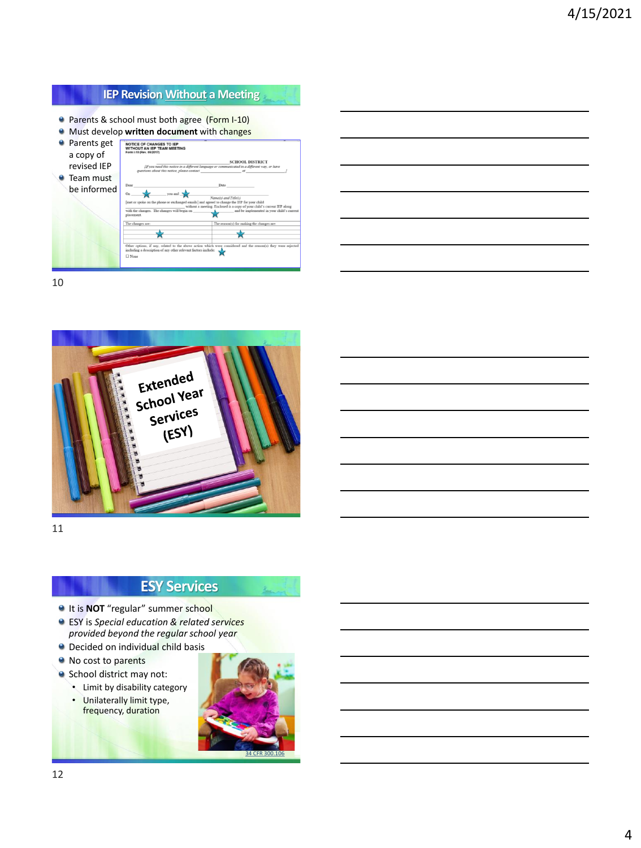### **IEP Revision Without a Meeting**

- **Parents & school must both agree (Form I-10)**
- Must develop **written document** with changes **Parents get NOTICE OF CHANGES TO IEP**<br>WITHOUT AN IEP TEAM MEETING a copy of **SCHOOL DISTRICT** revised IEP **O** Team must be informed you and  $\frac{1}{\sqrt{2}}$  $\overline{\phantom{a}}$  which then if any, rel

10



11

## **ESY Services**

- **It is NOT** "regular" summer school
- ESY is *Special education & related services provided beyond the regular school year*
- **O** Decided on individual child basis
- No cost to parents
- School district may not:
	- Limit by disability category
	- Unilaterally limit type, frequency, duration

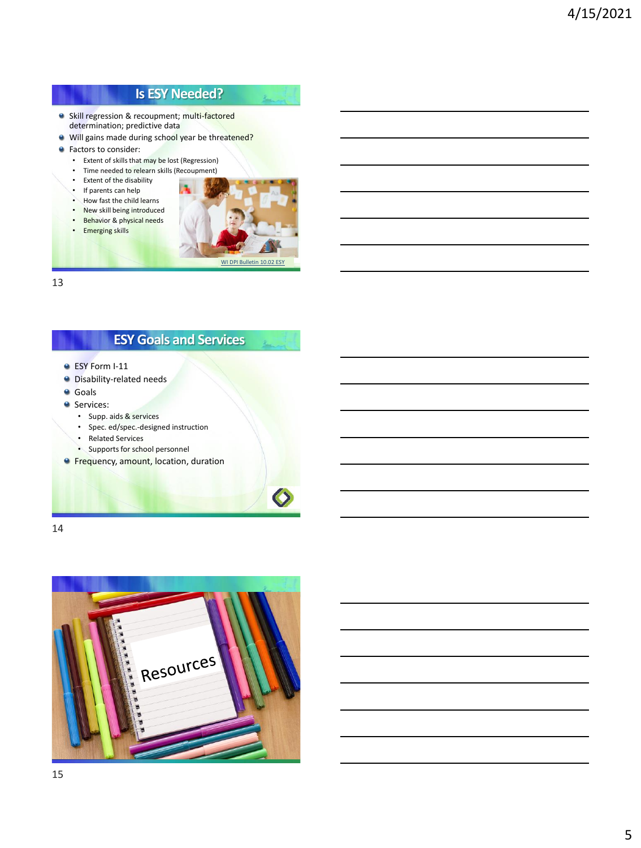## **Is ESY Needed?**

- Skill regression & recoupment; multi-factored determination; predictive data
- Will gains made during school year be threatened?
- **•** Factors to consider:
	- Extent of skills that may be lost (Regression)
	- Time needed to relearn skills (Recoupment)
	- Extent of the disability • If parents can help
	-
	- How fast the child learns
	- New skill being introduced • Behavior & physical needs
	- Emerging skills



 $\mathbf{L}_{\text{max}}$ 

13

## **ESY Goals and Services**

- **ESY Form I-11**
- **O** Disability-related needs
- Goals
- **Services:** 
	- Supp. aids & services
	- Spec. ed/spec.-designed instruction
	- Related Services
	- Supports for school personnel
- **Frequency, amount, location, duration**

14